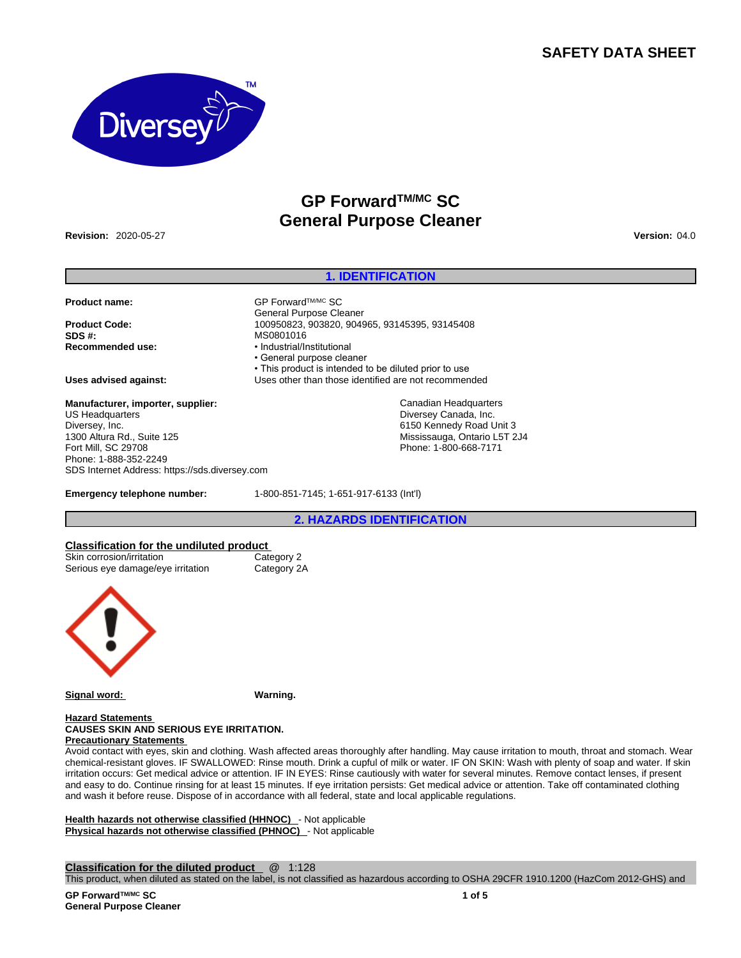# **SAFETY DATA SHEET**



# **GP ForwardTM/MC SC General Purpose Cleaner**

**Revision:** 2020-05-27 **Version:** 04.0

# **1. IDENTIFICATION**

**Product name:** △GP Forward™MC SC

**Product Code:** 100950823, 903820, 904965, 93145395, 93145408 **SDS #:** MS0801016 **Recommended use:** • Industrial/Institutional

**Manufacturer, importer, supplier:** US Headquarters Diversey, Inc. 1300 Altura Rd., Suite 125 Fort Mill, SC 29708 Phone: 1-888-352-2249 SDS Internet Address: https://sds.diversey.com

• General purpose cleaner • This product is intended to be diluted prior to use **Uses advised against:** Uses other than those identified are not recommended Canadian Headquarters

Diversey Canada, Inc. 6150 Kennedy Road Unit 3 Mississauga, Ontario L5T 2J4 Phone: 1-800-668-7171

**Emergency telephone number:** 1-800-851-7145; 1-651-917-6133 (Int'l)

General Purpose Cleaner

**2. HAZARDS IDENTIFICATION**

# **Classification for the undiluted product**

Skin corrosion/irritation Category 2<br>
Serious eye damage/eye irritation Category 2A Serious eye damage/eye irritation



**Signal word: Warning.**

#### **Hazard Statements CAUSES SKIN AND SERIOUS EYE IRRITATION. Precautionary Statements**

Avoid contact with eyes, skin and clothing. Wash affected areas thoroughly after handling. May cause irritation to mouth, throat and stomach. Wear chemical-resistant gloves. IF SWALLOWED: Rinse mouth. Drink a cupful of milk or water. IF ON SKIN: Wash with plenty of soap and water. If skin irritation occurs: Get medical advice or attention. IF IN EYES: Rinse cautiously with water for several minutes. Remove contact lenses, if present and easy to do. Continue rinsing for at least 15 minutes. If eye irritation persists: Get medical advice or attention. Take off contaminated clothing and wash it before reuse. Dispose of in accordance with all federal, state and local applicable regulations.

**Health hazards not otherwise classified (HHNOC)** - Not applicable **Physical hazards not otherwise classified (PHNOC)** - Not applicable

**Classification for the diluted product** @ 1:128

This product, when diluted as stated on the label, is not classified as hazardous according to OSHA 29CFR 1910.1200 (HazCom 2012-GHS) and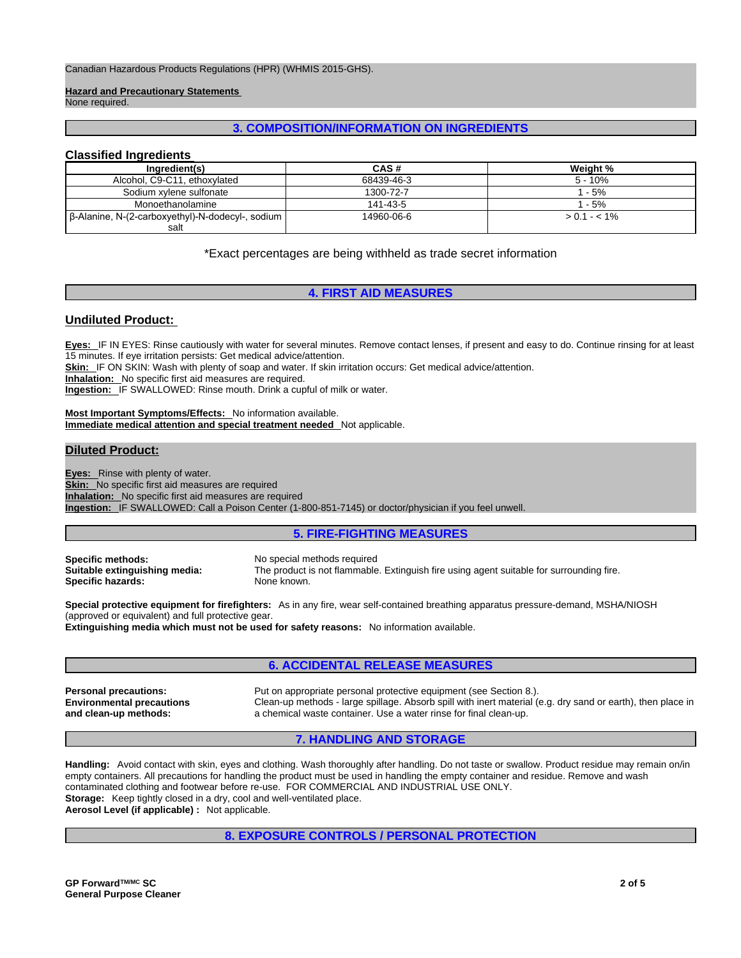Canadian Hazardous Products Regulations (HPR) (WHMIS 2015-GHS).

**Hazard and Precautionary Statements** 

None required.

# **3. COMPOSITION/INFORMATION ON INGREDIENTS**

# **Classified Ingredients**

| Ingredient(s)                                    | CAS#       | Weight %      |
|--------------------------------------------------|------------|---------------|
| Alcohol, C9-C11, ethoxylated                     | 68439-46-3 | $5 - 10%$     |
| Sodium xylene sulfonate                          | 1300-72-7  | $1 - 5%$      |
| Monoethanolamine                                 | 141-43-5   | 1 - 5%        |
| β-Alanine, N-(2-carboxyethyl)-N-dodecyl-, sodium | 14960-06-6 | $> 0.1 - 1\%$ |
| salt                                             |            |               |

\*Exact percentages are being withheld as trade secret information

# **4. FIRST AID MEASURES**

# **Undiluted Product:**

**Eyes:** IF IN EYES: Rinse cautiously with water for several minutes. Remove contact lenses, if present and easy to do. Continue rinsing for at least 15 minutes. If eye irritation persists: Get medical advice/attention.

**Skin:** IF ON SKIN: Wash with plenty of soap and water. If skin irritation occurs: Get medical advice/attention.

**Inhalation:** No specific first aid measures are required.

**Ingestion:** IF SWALLOWED: Rinse mouth. Drink a cupful of milk or water.

**Most Important Symptoms/Effects:** No information available. **Immediate medical attention and special treatment needed** Not applicable.

# **Diluted Product:**

**Eyes:** Rinse with plenty of water. **Skin:** No specific first aid measures are required **Inhalation:** No specific first aid measures are required **Ingestion:** IF SWALLOWED: Call a Poison Center (1-800-851-7145) or doctor/physician if you feel unwell.

# **5. FIRE-FIGHTING MEASURES**

**Specific methods:** No special methods required **Specific hazards:** None known.

**Suitable extinguishing media:** The product is not flammable. Extinguish fire using agent suitable for surrounding fire.

**Special protective equipment for firefighters:** As in any fire, wear self-contained breathing apparatus pressure-demand, MSHA/NIOSH (approved or equivalent) and full protective gear.

**Extinguishing media which must not be used for safety reasons:** No information available.

# **6. ACCIDENTAL RELEASE MEASURES**

**Environmental precautions and clean-up methods:** 

**Personal precautions:** Put on appropriate personal protective equipment (see Section 8.). Clean-up methods - large spillage. Absorb spill with inert material (e.g. dry sand or earth), then place in a chemical waste container. Use a water rinse for final clean-up.

**7. HANDLING AND STORAGE** 

**Handling:** Avoid contact with skin, eyes and clothing. Wash thoroughly after handling. Do not taste or swallow. Product residue may remain on/in empty containers. All precautions for handling the product must be used in handling the empty container and residue. Remove and wash contaminated clothing and footwear before re-use. FOR COMMERCIAL AND INDUSTRIAL USE ONLY. **Storage:** Keep tightly closed in a dry, cool and well-ventilated place. **Aerosol Level (if applicable) :** Not applicable.

**8. EXPOSURE CONTROLS / PERSONAL PROTECTION**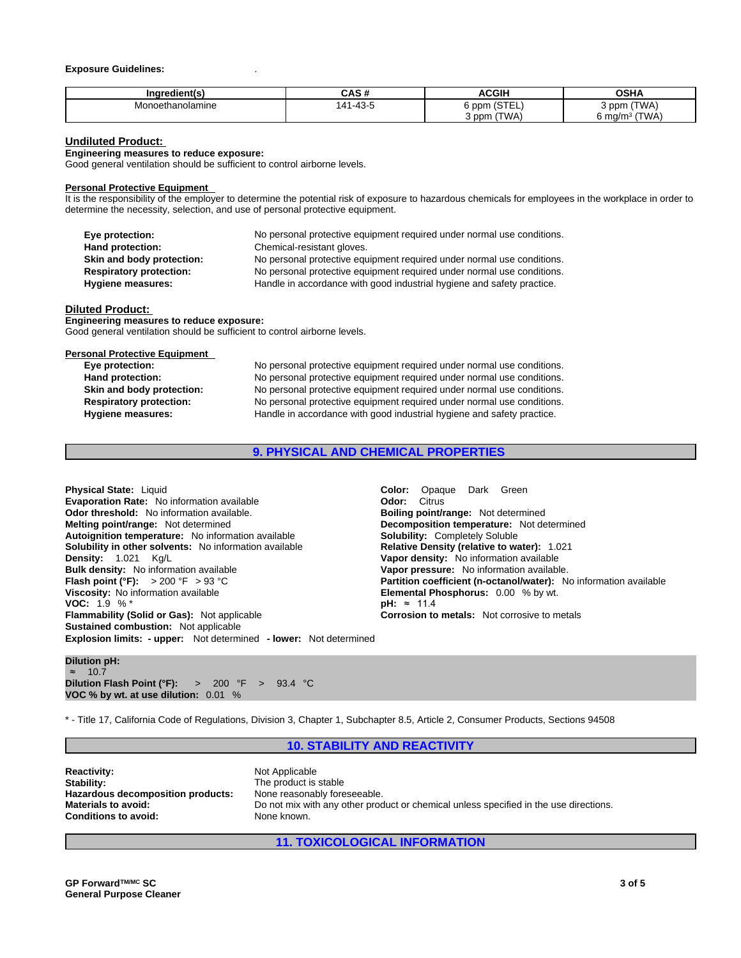#### **Exposure Guidelines:** .

|                  | <b>CAC #</b>  | <b>ACGIH</b>     | െ⊔^                                |
|------------------|---------------|------------------|------------------------------------|
| Inaredient(s     | יי טריט       |                  | וחט                                |
| Monoethanolamine | $-1 - 43 - 5$ | $\sim$ $ -$      | <b>'TWA)</b>                       |
|                  | 41            | ppm              | 3 ppm                              |
|                  | ᠇୰            | .                |                                    |
|                  |               | (TWA)<br>$3$ ppm | (TIMA)<br>$\sim$ ma/m <sup>3</sup> |

# **Undiluted Product:**

#### **Engineering measures to reduce exposure:**

Good general ventilation should be sufficient to control airborne levels.

#### **Personal Protective Equipment**

It is the responsibility of the employer to determine the potential risk of exposure to hazardous chemicals for employees in the workplace in order to determine the necessity, selection, and use of personal protective equipment.

| Eye protection:                | No personal protective equipment required under normal use conditions. |
|--------------------------------|------------------------------------------------------------------------|
| Hand protection:               | Chemical-resistant gloves.                                             |
| Skin and body protection:      | No personal protective equipment required under normal use conditions. |
| <b>Respiratory protection:</b> | No personal protective equipment required under normal use conditions. |
| Hygiene measures:              | Handle in accordance with good industrial hygiene and safety practice. |

#### **Diluted Product:**

**Engineering measures to reduce exposure:** Good general ventilation should be sufficient to control airborne levels.

#### **Personal Protective Equipment**

| Eye protection:                | No personal protective equipment required under normal use conditions. |
|--------------------------------|------------------------------------------------------------------------|
| Hand protection:               | No personal protective equipment required under normal use conditions. |
| Skin and body protection:      | No personal protective equipment required under normal use conditions. |
| <b>Respiratory protection:</b> | No personal protective equipment required under normal use conditions. |
| <b>Hygiene measures:</b>       | Handle in accordance with good industrial hygiene and safety practice. |

# **9. PHYSICAL AND CHEMICAL PROPERTIES**

**Explosion limits: - upper:** Not determined **- lower:** Not determined **Physical State:** Liquid **Color:** Opaque Dark Green **Evaporation Rate:** No information available **CODIC 10001 Odor:** Citrus **Odor threshold:** No information available. **Boiling point/range: Not determined Melting point/range: Not determined Melting point/range:** Not determined Autoignition temperature: No information available **Solubility: Completely Solubile**<br> **Solubility in other solvents:** No information available **Solubility: Completely Constity (relative to water):** 1.021 **Solubility in other solvents: No information available Density:** 1.021 Kg/L **Vapor density:** No information available **Flash point (°F):** > 200 °F > 93 °C **Partition coefficient (n-octanol/water):** No information available **Viscosity:** No information available **Elemental Phosphorus:** 0.00 % by wt. **VOC:** 1.9 % \* **pH:** ≈ 11.4 **Flammability (Solid or Gas):** Not applicable **Corrosion to metals:** Not corrosive to metals **Sustained combustion:** Not applicable

**Decomposition temperature:** Not determined **Vapor pressure:** No information available.

**Dilution pH:** ≈ 10.7 **Dilution Flash Point (°F):** > 200 °F > 93.4 °C **VOC % by wt. at use dilution:** 0.01 %

\* - Title 17, California Code of Regulations, Division 3, Chapter 1, Subchapter 8.5, Article 2, Consumer Products, Sections 94508

# **10. STABILITY AND REACTIVITY**

| <b>Reactivity:</b>                | Not Applicable                                                                        |
|-----------------------------------|---------------------------------------------------------------------------------------|
| Stability:                        | The product is stable                                                                 |
| Hazardous decomposition products: | None reasonably foreseeable.                                                          |
| Materials to avoid:               | Do not mix with any other product or chemical unless specified in the use directions. |
| Conditions to avoid:              | None known.                                                                           |

# **11. TOXICOLOGICAL INFORMATION**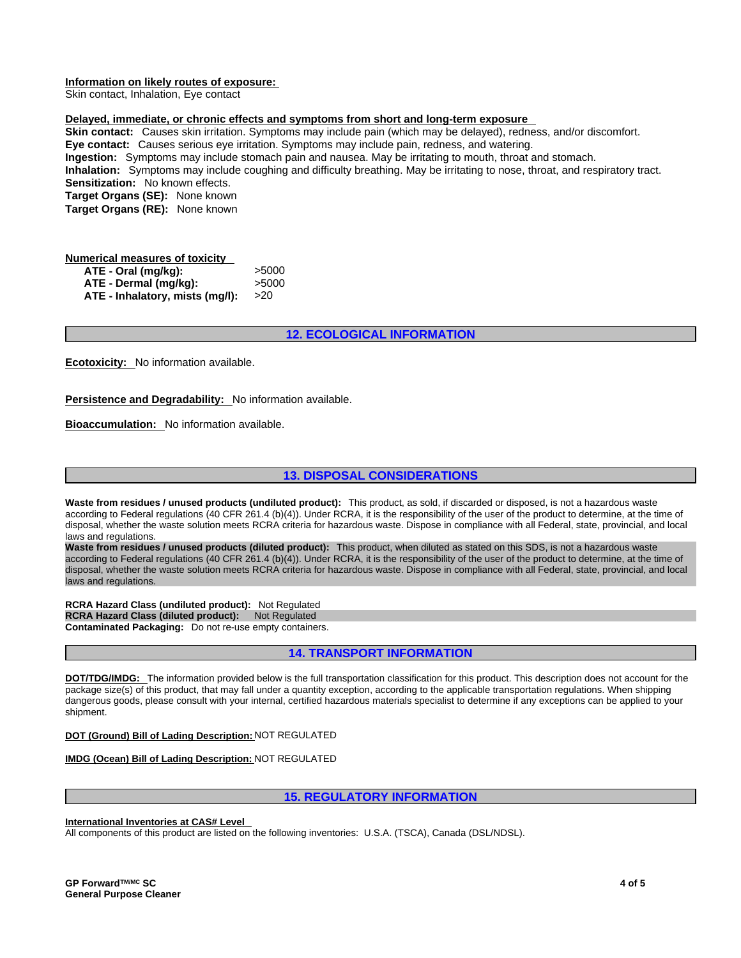# **Information on likely routes of exposure:**

Skin contact, Inhalation, Eye contact

# **Delayed, immediate, or chronic effects and symptoms from short and long-term exposure**

**Skin contact:** Causes skin irritation. Symptoms may include pain (which may be delayed), redness, and/or discomfort. **Eye contact:** Causes serious eye irritation. Symptoms may include pain, redness, and watering. **Ingestion:** Symptoms may include stomach pain and nausea. May be irritating to mouth, throat and stomach. **Inhalation:** Symptoms may include coughing and difficulty breathing. May be irritating to nose, throat, and respiratory tract. **Sensitization:** No known effects. **Target Organs (SE):** None known **Target Organs (RE):** None known

# **Numerical measures of toxicity ATE - Oral (mg/kg):** >5000 **ATE - Dermal (mg/kg):** >5000 **ATE - Inhalatory, mists (mg/l):** >20

# **12. ECOLOGICAL INFORMATION**

**Ecotoxicity:** No information available.

Persistence and Degradability: No information available.

**Bioaccumulation:** No information available.

# **13. DISPOSAL CONSIDERATIONS**

**Waste from residues / unused products (undiluted product):** This product, as sold, if discarded or disposed, is not a hazardous waste according to Federal regulations (40 CFR 261.4 (b)(4)). Under RCRA, it is the responsibility of the user of the product to determine, at the time of disposal, whether the waste solution meets RCRA criteria for hazardous waste. Dispose in compliance with all Federal, state, provincial, and local laws and regulations.

**Waste from residues / unused products (diluted product):** This product, when diluted as stated on this SDS, is not a hazardous waste according to Federal regulations (40 CFR 261.4 (b)(4)). Under RCRA, it is the responsibility of the user of the product to determine, at the time of disposal, whether the waste solution meets RCRA criteria for hazardous waste. Dispose in compliance with all Federal, state, provincial, and local laws and regulations.

**RCRA Hazard Class (undiluted product):** Not Regulated **RCRA Hazard Class (diluted product):** Not Regulated **Contaminated Packaging:** Do not re-use empty containers.

# **14. TRANSPORT INFORMATION**

**DOT/TDG/IMDG:** The information provided below is the full transportation classification for this product. This description does not account for the package size(s) of this product, that may fall under a quantity exception, according to the applicable transportation regulations. When shipping dangerous goods, please consult with your internal, certified hazardous materials specialist to determine if any exceptions can be applied to your shipment.

# **DOT (Ground) Bill of Lading Description:** NOT REGULATED

**IMDG (Ocean) Bill of Lading Description:** NOT REGULATED

# **15. REGULATORY INFORMATION**

#### **International Inventories at CAS# Level**

All components of this product are listed on the following inventories: U.S.A. (TSCA), Canada (DSL/NDSL).